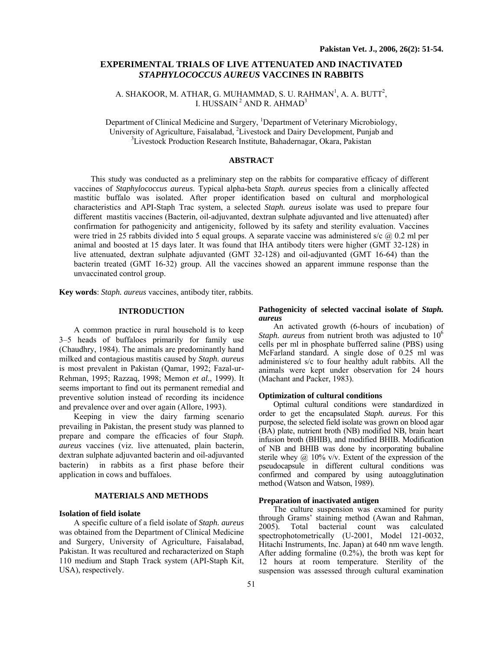# **EXPERIMENTAL TRIALS OF LIVE ATTENUATED AND INACTIVATED** *STAPHYLOCOCCUS AUREUS* **VACCINES IN RABBITS**

A. SHAKOOR, M. ATHAR, G. MUHAMMAD, S. U. RAHMAN<sup>1</sup>, A. A. BUTT<sup>2</sup>, I. HUSSAIN<sup>2</sup> AND R. AHMAD<sup>3</sup>

Department of Clinical Medicine and Surgery, <sup>1</sup>Department of Veterinary Microbiology, University of Agriculture, Faisalabad, <sup>2</sup>Livestock and Dairy Development, Punjab and <sup>3</sup>Livestock Production Becogne Institute, Behedernesser, Okera, Bekisten <sup>3</sup> Livestock Production Research Institute, Bahadernagar, Okara, Pakistan

# **ABSTRACT**

This study was conducted as a preliminary step on the rabbits for comparative efficacy of different vaccines of *Staphylococcus aureus*. Typical alpha-beta *Staph. aureus* species from a clinically affected mastitic buffalo was isolated. After proper identification based on cultural and morphological characteristics and API-Staph Trac system, a selected *Staph. aureus* isolate was used to prepare four different mastitis vaccines (Bacterin, oil-adjuvanted, dextran sulphate adjuvanted and live attenuated) after confirmation for pathogenicity and antigenicity, followed by its safety and sterility evaluation. Vaccines were tried in 25 rabbits divided into 5 equal groups. A separate vaccine was administered s/c  $\omega$  0.2 ml per animal and boosted at 15 days later. It was found that IHA antibody titers were higher (GMT 32-128) in live attenuated, dextran sulphate adjuvanted (GMT 32-128) and oil-adjuvanted (GMT 16-64) than the bacterin treated (GMT 16-32) group. All the vaccines showed an apparent immune response than the unvaccinated control group.

**Key words**: *Staph. aureus* vaccines, antibody titer, rabbits.

# **INTRODUCTION**

A common practice in rural household is to keep 3–5 heads of buffaloes primarily for family use (Chaudhry, 1984). The animals are predominantly hand milked and contagious mastitis caused by *Staph. aureus* is most prevalent in Pakistan (Qamar, 1992; Fazal-ur-Rehman, 1995; Razzaq, 1998; Memon *et al.*, 1999). It seems important to find out its permanent remedial and preventive solution instead of recording its incidence and prevalence over and over again (Allore, 1993).

Keeping in view the dairy farming scenario prevailing in Pakistan, the present study was planned to prepare and compare the efficacies of four *Staph. aureus* vaccines (viz. live attenuated, plain bacterin, dextran sulphate adjuvanted bacterin and oil-adjuvanted bacterin) in rabbits as a first phase before their application in cows and buffaloes.

# **MATERIALS AND METHODS**

# **Isolation of field isolate**

A specific culture of a field isolate of *Staph. aureus* was obtained from the Department of Clinical Medicine and Surgery, University of Agriculture, Faisalabad, Pakistan. It was recultured and recharacterized on Staph 110 medium and Staph Track system (API-Staph Kit, USA), respectively.

## **Pathogenicity of selected vaccinal isolate of** *Staph. aureus*

An activated growth (6-hours of incubation) of *Staph. aureus* from nutrient broth was adjusted to 10<sup>6</sup> cells per ml in phosphate bufferred saline (PBS) using McFarland standard. A single dose of 0.25 ml was administered s/c to four healthy adult rabbits. All the animals were kept under observation for 24 hours (Machant and Packer, 1983).

# **Optimization of cultural conditions**

Optimal cultural conditions were standardized in order to get the encapsulated *Staph. aureus*. For this purpose, the selected field isolate was grown on blood agar (BA) plate, nutrient broth (NB) modified NB, brain heart infusion broth (BHIB), and modified BHIB. Modification of NB and BHIB was done by incorporating bubaline sterile whey  $\omega$  10% v/v. Extent of the expression of the pseudocapsule in different cultural conditions was confirmed and compared by using autoagglutination method (Watson and Watson, 1989).

# **Preparation of inactivated antigen**

The culture suspension was examined for purity through Grams' staining method (Awan and Rahman, 2005). Total bacterial count was calculated spectrophotometrically (U-2001, Model 121-0032, Hitachi Instruments, Inc. Japan) at 640 nm wave length. After adding formaline (0.2%), the broth was kept for 12 hours at room temperature. Sterility of the suspension was assessed through cultural examination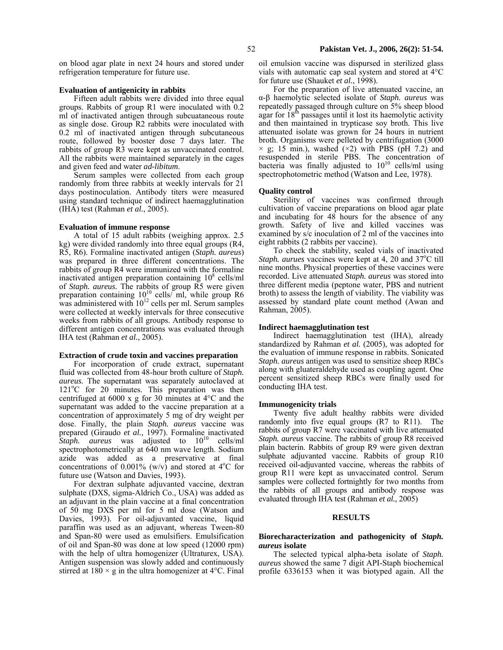on blood agar plate in next 24 hours and stored under refrigeration temperature for future use.

# **Evaluation of antigenicity in rabbits**

Fifteen adult rabbits were divided into three equal groups. Rabbits of group R1 were inoculated with 0.2 ml of inactivated antigen through subcuataneous route as single dose. Group R2 rabbits were inoculated with 0.2 ml of inactivated antigen through subcutaneous route, followed by booster dose 7 days later. The rabbits of group R3 were kept as unvaccinated control. All the rabbits were maintained separately in the cages and given feed and water *ad-libitum*.

Serum samples were collected from each group randomly from three rabbits at weekly intervals for 21 days postinoculation. Antibody titers were measured using standard technique of indirect haemagglutination (IHA) test (Rahman *et al.*, 2005).

### **Evaluation of immune response**

A total of 15 adult rabbits (weighing approx. 2.5 kg) were divided randomly into three equal groups (R4, R5, R6). Formaline inactivated antigen (*Staph. aureus*) was prepared in three different concentrations. The rabbits of group R4 were immunized with the formaline inactivated antigen preparation containing  $10^8$  cells/ml of *Staph. aureus.* The rabbits of group R5 were given preparation containing  $10^{10}$  cells/ml, while group R6 was administered with  $10^{12}$  cells per ml. Serum samples were collected at weekly intervals for three consecutive weeks from rabbits of all groups. Antibody response to different antigen concentrations was evaluated through IHA test (Rahman *et al.*, 2005).

# **Extraction of crude toxin and vaccines preparation**

For incorporation of crude extract, supernatant fluid was collected from 48-hour broth culture of *Staph. aureus*. The supernatant was separately autoclaved at  $121^{\circ}$ C for  $20^{\circ}$  minutes. This preparation was then centrifuged at 6000 x g for 30 minutes at 4°C and the supernatant was added to the vaccine preparation at a concentration of approximately 5 mg of dry weight per dose. Finally, the plain *Staph. aureus* vaccine was prepared (Giraudo *et al.,* 1997). Formaline inactivated *Staph. aureus* was adjusted to  $10^{10}$  cells/ml spectrophotometrically at 640 nm wave length. Sodium azide was added as a preservative at final concentrations of 0.001% (w/v) and stored at  $4^{\circ}$ C for future use (Watson and Davies, 1993).

For dextran sulphate adjuvanted vaccine, dextran sulphate (DXS, sigma-Aldrich Co., USA) was added as an adjuvant in the plain vaccine at a final concentration of 50 mg DXS per ml for 5 ml dose (Watson and Davies, 1993). For oil-adjuvanted vaccine, liquid paraffin was used as an adjuvant, whereas Tween-80 and Span-80 were used as emulsifiers. Emulsification of oil and Span-80 was done at low speed (12000 rpm) with the help of ultra homogenizer (Ultraturex, USA). Antigen suspension was slowly added and continuously stirred at  $180 \times g$  in the ultra homogenizer at  $4^{\circ}$ C. Final

oil emulsion vaccine was dispursed in sterilized glass vials with automatic cap seal system and stored at 4°C for future use (Shauket *et al.*, 1998).

For the preparation of live attenuated vaccine, an α-β haemolytic selected isolate of *Staph. aureus* was repeatedly passaged through culture on 5% sheep blood agar for  $18<sup>th</sup>$  passages until it lost its haemolytic activity and then maintained in trypticase soy broth. This live attenuated isolate was grown for 24 hours in nutrient broth. Organisms were pelleted by centrifugation (3000  $\times$  g; 15 min.), washed ( $\times$ 2) with PBS (pH 7.2) and resuspended in sterile PBS. The concentration of bacteria was finally adjusted to  $10^{10}$  cells/ml using spectrophotometric method (Watson and Lee, 1978).

#### **Quality control**

Sterility of vaccines was confirmed through cultivation of vaccine preparations on blood agar plate and incubating for 48 hours for the absence of any growth. Safety of live and killed vaccines was examined by s/c inoculation of 2 ml of the vaccines into eight rabbits (2 rabbits per vaccine).

To check the stability, sealed vials of inactivated Staph. aurues vaccines were kept at 4, 20 and 37°C till nine months. Physical properties of these vaccines were recorded. Live attenuated *Staph. aureus* was stored into three different media (peptone water, PBS and nutrient broth) to assess the length of viability. The viability was assessed by standard plate count method (Awan and Rahman, 2005).

# **Indirect haemagglutination test**

Indirect haemagglutination test (IHA), already standardized by Rahman *et al.* (2005), was adopted for the evaluation of immune response in rabbits. Sonicated *Staph. aureus* antigen was used to sensitize sheep RBCs along with gluateraldehyde used as coupling agent. One percent sensitized sheep RBCs were finally used for conducting IHA test.

#### **Immunogenicity trials**

Twenty five adult healthy rabbits were divided randomly into five equal groups (R7 to R11). The rabbits of group R7 were vaccinated with live attenuated *Staph. aureus* vaccine. The rabbits of group R8 received plain bacterin. Rabbits of group R9 were given dextran sulphate adjuvanted vaccine. Rabbits of group R10 received oil-adjuvanted vaccine, whereas the rabbits of group R11 were kept as unvaccinated control. Serum samples were collected fortnightly for two months from the rabbits of all groups and antibody respose was evaluated through IHA test (Rahman *et al.,* 2005)

#### **RESULTS**

# **Biorecharacterization and pathogenicity of** *Staph. aureus* **isolate**

The selected typical alpha-beta isolate of *Staph. aureus* showed the same 7 digit API-Staph biochemical profile 6336153 when it was biotyped again. All the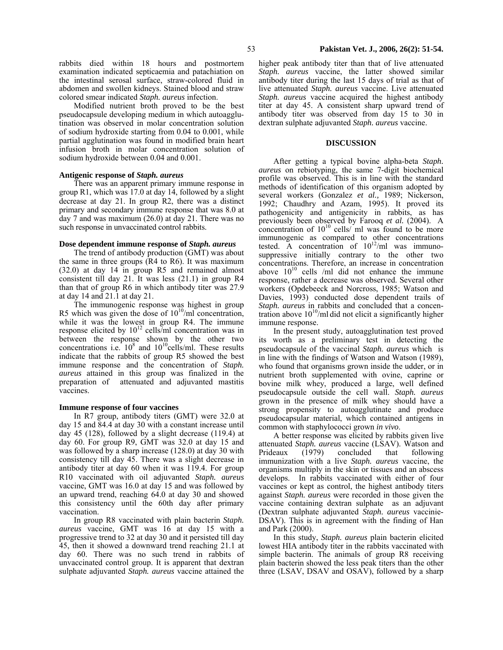colored smear indicated *Staph. aureus* infection. Modified nutrient broth proved to be the best pseudocapsule developing medium in which autoagglutination was observed in molar concentration solution of sodium hydroxide starting from 0.04 to 0.001, while partial agglutination was found in modified brain heart infusion broth in molar concentration solution of sodium hydroxide between 0.04 and 0.001.

abdomen and swollen kidneys. Stained blood and straw

# **Antigenic response of** *Staph. aureus*

There was an apparent primary immune response in group R1, which was 17.0 at day 14, followed by a slight decrease at day 21. In group R2, there was a distinct primary and secondary immune response that was 8.0 at day 7 and was maximum (26.0) at day 21. There was no such response in unvaccinated control rabbits.

### **Dose dependent immune response of** *Staph. aureus*

The trend of antibody production (GMT) was about the same in three groups (R4 to R6). It was maximum (32.0) at day 14 in group R5 and remained almost consistent till day 21. It was less (21.1) in group R4 than that of group R6 in which antibody titer was 27.9 at day 14 and 21.1 at day 21.

The immunogenic response was highest in group R5 which was given the dose of  $10^{10}/ml$  concentration, while it was the lowest in group R4. The immune response elicited by  $10^{12}$  cells/ml concentration was in between the response shown by the other two concentrations i.e.  $10^8$  and  $10^{10}$ cells/ml. These results indicate that the rabbits of group R5 showed the best immune response and the concentration of *Staph. aureus* attained in this group was finalized in the preparation of attenuated and adjuvanted mastitis vaccines.

# **Immune response of four vaccines**

In R7 group, antibody titers (GMT) were 32.0 at day 15 and 84.4 at day 30 with a constant increase until day 45 (128), followed by a slight decrease (119.4) at day 60. For group R9, GMT was 32.0 at day 15 and was followed by a sharp increase (128.0) at day 30 with consistency till day 45. There was a slight decrease in antibody titer at day 60 when it was 119.4. For group R10 vaccinated with oil adjuvanted *Staph. aureus* vaccine, GMT was 16.0 at day 15 and was followed by an upward trend, reaching 64.0 at day 30 and showed this consistency until the 60th day after primary vaccination.

In group R8 vaccinated with plain bacterin *Staph. aureus* vaccine, GMT was 16 at day 15 with a progressive trend to 32 at day 30 and it persisted till day 45, then it showed a downward trend reaching 21.1 at day 60. There was no such trend in rabbits of unvaccinated control group. It is apparent that dextran sulphate adjuvanted *Staph. aureus* vaccine attained the

higher peak antibody titer than that of live attenuated *Staph. aureus* vaccine, the latter showed similar antibody titer during the last 15 days of trial as that of live attenuated *Staph. aureus* vaccine. Live attenuated *Staph. aureus* vaccine acquired the highest antibody titer at day 45. A consistent sharp upward trend of antibody titer was observed from day 15 to 30 in dextran sulphate adjuvanted *Staph. aureus* vaccine.

### **DISCUSSION**

After getting a typical bovine alpha-beta *Staph. aureus* on rebiotyping, the same 7-digit biochemical profile was observed. This is in line with the standard methods of identification of this organism adopted by several workers (Gonzalez *et al.,* 1989; Nickerson, 1992; Chaudhry and Azam, 1995). It proved its pathogenicity and antigenicity in rabbits, as has previously been observed by Farooq *et al.* (2004). A concentration of  $10^{10}$  cells/ ml was found to be more immunogenic as compared to other concentrations tested. A concentration of  $10^{12}$ /ml was immunosuppressive initially contrary to the other two concentrations. Therefore, an increase in concentration above  $10^{10}$  cells /ml did not enhance the immune response, rather a decrease was observed. Several other workers (Opdebeeck and Norcross, 1985; Watson and Davies, 1993) conducted dose dependent trails of *Staph. aureus* in rabbits and concluded that a concentration above  $10^{10}$ /ml did not elicit a significantly higher immune response.

In the present study, autoagglutination test proved its worth as a preliminary test in detecting the pseudocapsule of the vaccinal *Staph. aureus* which is in line with the findings of Watson and Watson (1989), who found that organisms grown inside the udder, or in nutrient broth supplemented with ovine, caprine or bovine milk whey, produced a large, well defined pseudocapsule outside the cell wall. *Staph. aureus* grown in the presence of milk whey should have a strong propensity to autoagglutinate and produce pseudocapsular material, which contained antigens in common with staphylococci grown *in vivo*.

A better response was elicited by rabbits given live attenuated *Staph. aureus* vaccine (LSAV). Watson and Prideaux (1979) concluded that following immunization with a live *Staph. aureus* vaccine, the organisms multiply in the skin or tissues and an abscess develops. In rabbits vaccinated with either of four vaccines or kept as control, the highest antibody titers against *Staph. aureus* were recorded in those given the vaccine containing dextran sulphate as an adjuvant (Dextran sulphate adjuvanted *Staph. aureus* vaccinie-DSAV). This is in agreement with the finding of Han and Park (2000).

In this study, *Staph. aureus* plain bacterin elicited lowest HIA antibody titer in the rabbits vaccinated with simple bacterin. The animals of group R8 receiving plain bacterin showed the less peak titers than the other three (LSAV, DSAV and OSAV), followed by a sharp